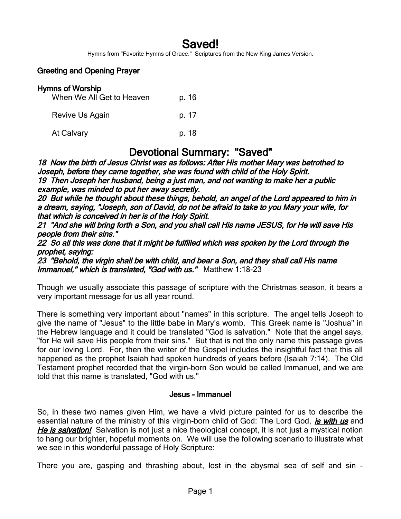# Saved!

Hymns from "Favorite Hymns of Grace." Scriptures from the New King James Version.

#### Greeting and Opening Prayer

| <b>Hymns of Worship</b><br>When We All Get to Heaven | p. 16 |
|------------------------------------------------------|-------|
| Revive Us Again                                      | p. 17 |
| At Calvary                                           | p. 18 |

## Devotional Summary: "Saved"

18 Now the birth of Jesus Christ was as follows: After His mother Mary was betrothed to Joseph, before they came together, she was found with child of the Holy Spirit. 19 Then Joseph her husband, being a just man, and not wanting to make her a public example, was minded to put her away secretly.

20 But while he thought about these things, behold, an angel of the Lord appeared to him in a dream, saying, "Joseph, son of David, do not be afraid to take to you Mary your wife, for that which is conceived in her is of the Holy Spirit.

21 "And she will bring forth a Son, and you shall call His name JESUS, for He will save His people from their sins."

22 So all this was done that it might be fulfilled which was spoken by the Lord through the prophet, saying:

23 "Behold, the virgin shall be with child, and bear a Son, and they shall call His name Immanuel," which is translated, "God with us." Matthew 1:18-23

Though we usually associate this passage of scripture with the Christmas season, it bears a very important message for us all year round.

There is something very important about "names" in this scripture. The angel tells Joseph to give the name of "Jesus" to the little babe in Mary's womb. This Greek name is "Joshua" in the Hebrew language and it could be translated "God is salvation." Note that the angel says, "for He will save His people from their sins." But that is not the only name this passage gives for our loving Lord. For, then the writer of the Gospel includes the insightful fact that this all happened as the prophet Isaiah had spoken hundreds of years before (Isaiah 7:14). The Old Testament prophet recorded that the virgin-born Son would be called Immanuel, and we are told that this name is translated, "God with us."

#### Jesus - Immanuel

So, in these two names given Him, we have a vivid picture painted for us to describe the essential nature of the ministry of this virgin-born child of God: The Lord God, *is with us* and He is salvation! Salvation is not just a nice theological concept, it is not just a mystical notion to hang our brighter, hopeful moments on. We will use the following scenario to illustrate what we see in this wonderful passage of Holy Scripture:

There you are, gasping and thrashing about, lost in the abysmal sea of self and sin -